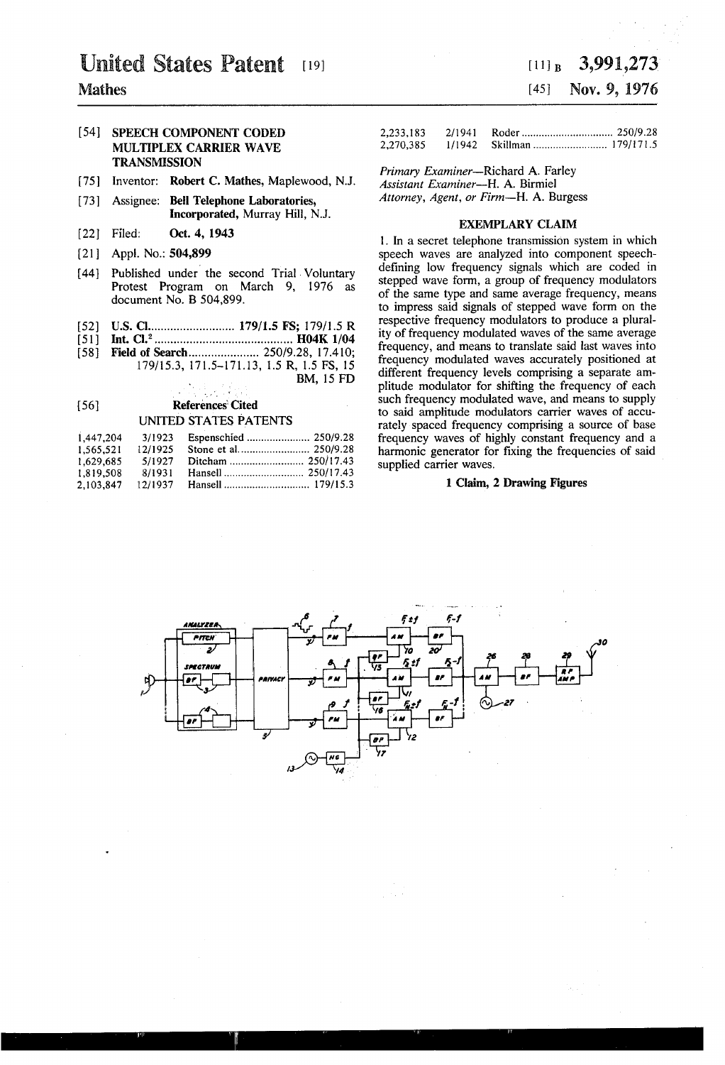# **United States Patent** [19]

## Mathes

## [54] **SPEECH COMPONENT CODED** 2<br>233,193 2/1941 POLE RODER RODER WAVE MULTIPLEX CARRIER WAVE **TRANSMISSION**

- [75] Inventor: Robert C. Mathes, Maplewood, N.J.
- [73] Assignee: Bell Telephone Laboratories, Attorney, Agent, or Firm-H. A. Burgess Incorporated, Murray Hill, N.J. EXEMPLARY CLAIM
- 
- 
- [44] Published under the second Trial Voluntary Protest Program on March 9, 1976 as document No. B 504,899.
- [52] US. Cl ......................... .. 179/l.5 FS; 179/15 R
- [51] Int. Cl.2 ......................................... .. H04K 1/04
- [58] Field of Search............................ 250/9.28, 17.410; 179/153, 171.5-17l.13, 1.5 R, 1.5 FS, 15 BM, 15 FD

## L. P [56] **References** Cited UNITED STATES PATENTS

| 1.447.204 | 3/1923  |  |
|-----------|---------|--|
| 1.565,521 | 12/1925 |  |
| 1.629.685 | 5/1927  |  |
| 1.819.508 | 8/1931  |  |
| 2.103.847 | 12/1937 |  |

## $[11]_B$  3,991,273 [45] Nov. 9, 1976

| 2,233,183 | 2/1941 |  |
|-----------|--------|--|
| 2,270,385 | 1/1942 |  |

Primary Examiner-Richard A. Farley<br>Assistant Examiner--H. A. Birmiel

[22] Filed: Oct. 4,1943 . . . . 1. In a secret telephone transmlsslon system 1n WhlCh speech waves are analyzed into component speech-<br>defining low frequency signals which are coded in stepped wave form, a group of frequency modulators of the same type and same average frequency, means to impress said signals of stepped wave form on the respective frequency modulators to produce a plural ity of frequency modulated waves of the same average frequency, and means to translate said last waves into frequency modulated waves accurately positioned at different frequency levels comprising a separate am plitude modulator for shifting the frequency of each such frequency modulated wave, and means to supply to said amplitude modulators carrier waves of accu rately spaced frequency comprising a source of base frequency waves of highly constant frequency and a harmonic generator for fixing the frequencies of said supplied carrier waves.

## 1 Claim, 2 Drawing Figures

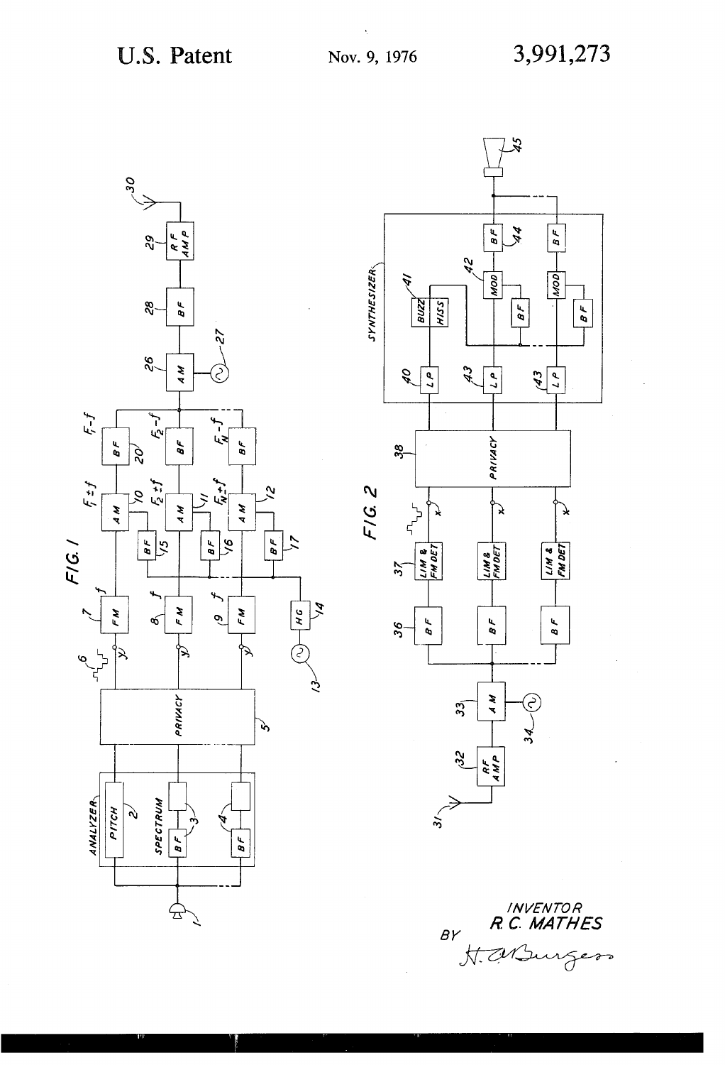



INVENTOR<br>R.C. MATHES  $BY$ H. M. Surg  $\curvearrowright$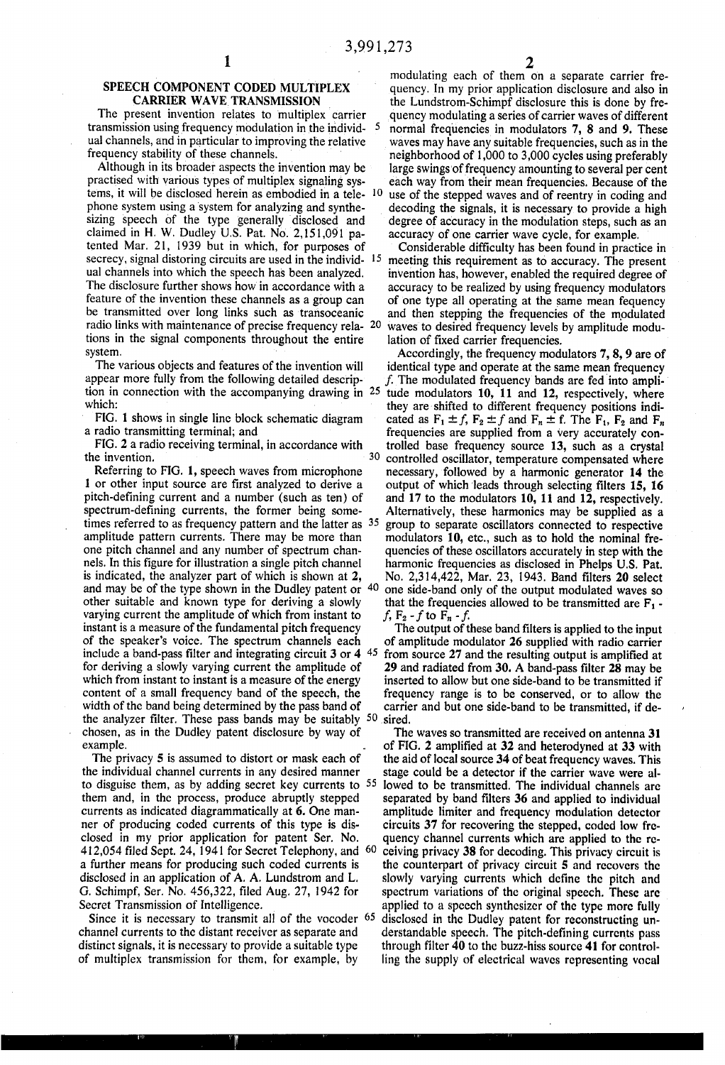$\mathfrak{s}$ 

# SPEECH COMPONENT CODED MULTIPLEX<br>CARRIER WAVE TRANSMISSION

The present invention relates to multiplex carrier transmission using frequency modulation in the individ~ ual channels, and in particular to improving the relative frequency stability of these channels.

Although in its broader aspects the invention may be practised with various types of multiplex signaling systems, it will be disclosed herein as embodied in a tele phone system using a system for analyzing and synthe sizing speech of the type generally disclosed and claimed in H. W. Dudley U.S. Pat. No. 2,151,091 pa tented Mar. 21, 1939 but in which, for purposes of secrecy, signal distoring circuits are used in the individ-15 ual channels into which the speech has been analyzed. The disclosure further shows how in accordance with a feature of the invention these channels as a group can be transmitted over long links such as transoceanic radio links with maintenance of precise frequency rela- 20 tions in the signal components throughout the entire system. '

The various objects and features of the invention will appear more fully from the following detailed descrip which:

FIG. 1 shows in single line block schematic diagram a radio transmitting terminal; and

FIG. 2 a radio receiving terminal, in accordance with the invention.

Referring to FIG. 1, speech waves from microphone 1 or other input source are first analyzed to derive a pitch-defining current and a number (such as ten) of spectrum-defining currents, the former being sometimes referred to as frequency pattern and the latter as <sup>35</sup> amplitude pattern currents. There may be more than one pitch channel and any number of spectrum chan nels. In this figure for illustration a single pitch channel is indicated, the analyzer part of which is shown at 2, and may be of the type shown in the Dudley patent or 40 other suitable and known type for deriving a slowly varying current the amplitude of which from instant to instant is a measure of the fundamental pitch frequency of the speaker's voice. The spectrum channels each include a band-pass filter and integrating circuit  $3$  or  $4\,$   $45$ for deriving a slowly varying current the amplitude of which from instant to instant is a measure of the energy content of a small frequency band of the speech, the width of the band being determined by the pass band of the analyzer filter. These pass bands may be suitably  $50$  sired. chosen, as in the Dudley patent disclosure by way of example.

The privacy 5 is assumed to distort or mask each of the individual channel currents in any desired manner to disguise them, as by adding secret key currents to 55 them and, in the process, produce abruptly stepped currents as indicated diagrammatically at 6. One man ner of producing coded currents of this type is dis closed in my prior application for patent Ser. No. a further means for producing such coded currents is disclosed in an application of A. A. Lundstrom and L. G. Schimpf, Ser. No. 456,322, filed Aug. 27, 1942 for Secret Transmission of lntelligence. 412,054 filed Sept. 24, 1941 for Secret Telephony, and 60

Since it is necessary to transmit all of the vocoder <sup>65</sup> channel currents to the distant receiver as separate and distinct signals. it is necessary to provide a suitable type of multiplex transmission for them, for example, by

modulating each of them on a separate carrier fre quency. In my prior application disclosure and also in the Lundstrom-Schimpf disclosure this is done by fre quency modulating a series of carrier waves of different normal frequencies in modulators 7, 8 and 9. These waves may have any suitable frequencies, such as in the neighborhood of 1,000 to 3,000 cycles using preferably large swings'of frequency amounting to several per cent each way from their mean frequencies. Because of the use of the stepped waves and of reentry in coding and decoding the signals, it is necessary to provide a high degree of accuracy in the modulation steps, such as an accuracy of one carrier wave cycle, for example.

Considerable difficulty has been found in practice in meeting this requirement as to accuracy. The present invention has, however, enabled the required degree of accuracy to be realized by using frequency modulators of one type all operating at the same mean fequency and then stepping the frequencies of the modulated waves to desired frequency levels by amplitude modu lation of fixed carrier frequencies.

tion in connection with the accompanying drawing in  $25$  tude modulators 10, 11 and 12, respectively, where 30 Accordingly, the frequency modulators 7, 8, 9 are of identical type and operate at the same mean frequency  $f$ . The modulated frequency bands are fed into amplithey are shifted to different frequency positions indicated as  $F_1 \pm f$ ,  $F_2 \pm f$  and  $F_n \pm f$ . The  $F_1$ ,  $F_2$  and  $F_n$ frequencies are supplied from a very accurately con trolled base frequency source 13, such as a crystal controlled oscillator, temperature compensated where necessary, followed by a harmonic generator 14 the output of which leads through selecting filters 15, 16 and 17 to the modulators l0, l1 and 12, respectively. Alternatively, these harmonics may be supplied as a group to separate oscillators connected to respective modulators 10, etc., such as to hold the nominal fre quencies of these oscillators accurately in step with the harmonic frequencies as disclosed in Phelps U.S. Pat.<br>No. 2,314,422, Mar. 23, 1943. Band filters 20 select one side-band only of the output modulated waves so that the frequencies allowed to be transmitted are  $F_1$ .  $f$ ,  $F_2 - f$  to  $F_n - f$ .

The output of these band filters is applied to the input of amplitude modulator 26 supplied with radio carrier from source 27 and the resulting output is amplified at 29 and radiated from 30. A band-pass filter 28 may be inserted to allow but one side-band to be transmitted if frequency range is to be conserved, or to allow the carrier and but one side-band to be transmitted, if de

The waves so transmitted are received on antenna 31 of FIG. 2 amplified at 32 and heterodyned at 33 with the aid of local source 34 of beat frequency waves. This stage could be a detector if the carrier wave were al lowed to be transmitted. The individual channels are separated by band filters 36 and applied to individual amplitude limiter and frequency modulation detector circuits 37 for recovering the stepped, coded low fre quency channel currents which are applied to the re ceiving privacy 38 for decoding. This privacy circuit is the counterpart of privacy circuit 5 and recovers the slowly varying currents which define the pitch and spectrum variations of the original speech. These are applied to a speech synthesizer of the type more fully disclosed in the Dudley patent for reconstructing un derstandable speech. The pitch-defining currents pass through filter  $40$  to the buzz-hiss source  $41$  for controlling the supply of electrical waves representing vocal